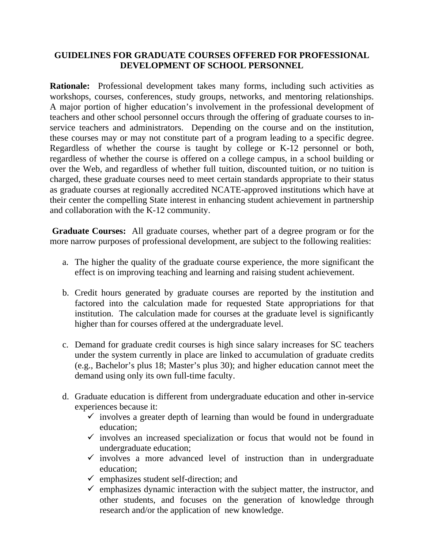## **GUIDELINES FOR GRADUATE COURSES OFFERED FOR PROFESSIONAL DEVELOPMENT OF SCHOOL PERSONNEL**

**Rationale:** Professional development takes many forms, including such activities as workshops, courses, conferences, study groups, networks, and mentoring relationships. A major portion of higher education's involvement in the professional development of teachers and other school personnel occurs through the offering of graduate courses to inservice teachers and administrators. Depending on the course and on the institution, these courses may or may not constitute part of a program leading to a specific degree. Regardless of whether the course is taught by college or K-12 personnel or both, regardless of whether the course is offered on a college campus, in a school building or over the Web, and regardless of whether full tuition, discounted tuition, or no tuition is charged, these graduate courses need to meet certain standards appropriate to their status as graduate courses at regionally accredited NCATE-approved institutions which have at their center the compelling State interest in enhancing student achievement in partnership and collaboration with the K-12 community.

 **Graduate Courses:** All graduate courses, whether part of a degree program or for the more narrow purposes of professional development, are subject to the following realities:

- a. The higher the quality of the graduate course experience, the more significant the effect is on improving teaching and learning and raising student achievement.
- b. Credit hours generated by graduate courses are reported by the institution and factored into the calculation made for requested State appropriations for that institution. The calculation made for courses at the graduate level is significantly higher than for courses offered at the undergraduate level.
- c. Demand for graduate credit courses is high since salary increases for SC teachers under the system currently in place are linked to accumulation of graduate credits (e.g., Bachelor's plus 18; Master's plus 30); and higher education cannot meet the demand using only its own full-time faculty.
- d. Graduate education is different from undergraduate education and other in-service experiences because it:
	- $\checkmark$  involves a greater depth of learning than would be found in undergraduate education;
	- $\checkmark$  involves an increased specialization or focus that would not be found in undergraduate education;
	- $\checkmark$  involves a more advanced level of instruction than in undergraduate education;
	- $\checkmark$  emphasizes student self-direction; and
	- $\checkmark$  emphasizes dynamic interaction with the subject matter, the instructor, and other students, and focuses on the generation of knowledge through research and/or the application of new knowledge.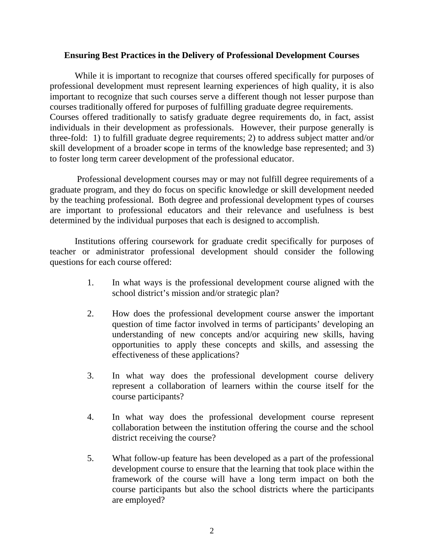## **Ensuring Best Practices in the Delivery of Professional Development Courses**

 While it is important to recognize that courses offered specifically for purposes of professional development must represent learning experiences of high quality, it is also important to recognize that such courses serve a different though not lesser purpose than courses traditionally offered for purposes of fulfilling graduate degree requirements. Courses offered traditionally to satisfy graduate degree requirements do, in fact, assist individuals in their development as professionals. However, their purpose generally is three-fold: 1) to fulfill graduate degree requirements; 2) to address subject matter and/or skill development of a broader scope in terms of the knowledge base represented; and 3) to foster long term career development of the professional educator.

 Professional development courses may or may not fulfill degree requirements of a graduate program, and they do focus on specific knowledge or skill development needed by the teaching professional. Both degree and professional development types of courses are important to professional educators and their relevance and usefulness is best determined by the individual purposes that each is designed to accomplish.

 Institutions offering coursework for graduate credit specifically for purposes of teacher or administrator professional development should consider the following questions for each course offered:

- 1. In what ways is the professional development course aligned with the school district's mission and/or strategic plan?
- 2. How does the professional development course answer the important question of time factor involved in terms of participants' developing an understanding of new concepts and/or acquiring new skills, having opportunities to apply these concepts and skills, and assessing the effectiveness of these applications?
- 3. In what way does the professional development course delivery represent a collaboration of learners within the course itself for the course participants?
- 4. In what way does the professional development course represent collaboration between the institution offering the course and the school district receiving the course?
- 5. What follow-up feature has been developed as a part of the professional development course to ensure that the learning that took place within the framework of the course will have a long term impact on both the course participants but also the school districts where the participants are employed?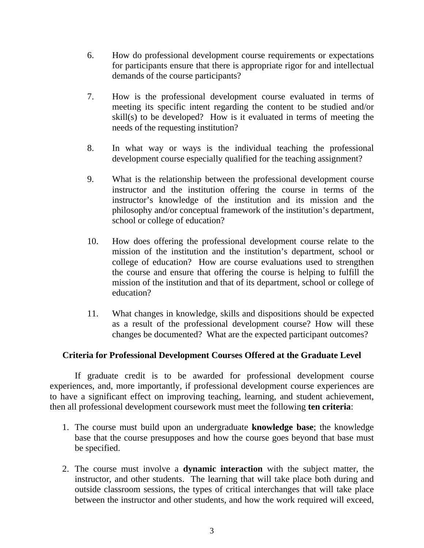- 6. How do professional development course requirements or expectations for participants ensure that there is appropriate rigor for and intellectual demands of the course participants?
- 7. How is the professional development course evaluated in terms of meeting its specific intent regarding the content to be studied and/or skill(s) to be developed? How is it evaluated in terms of meeting the needs of the requesting institution?
- 8. In what way or ways is the individual teaching the professional development course especially qualified for the teaching assignment?
- 9. What is the relationship between the professional development course instructor and the institution offering the course in terms of the instructor's knowledge of the institution and its mission and the philosophy and/or conceptual framework of the institution's department, school or college of education?
- 10. How does offering the professional development course relate to the mission of the institution and the institution's department, school or college of education? How are course evaluations used to strengthen the course and ensure that offering the course is helping to fulfill the mission of the institution and that of its department, school or college of education?
- 11. What changes in knowledge, skills and dispositions should be expected as a result of the professional development course? How will these changes be documented? What are the expected participant outcomes?

## **Criteria for Professional Development Courses Offered at the Graduate Level**

If graduate credit is to be awarded for professional development course experiences, and, more importantly, if professional development course experiences are to have a significant effect on improving teaching, learning, and student achievement, then all professional development coursework must meet the following **ten criteria**:

- 1. The course must build upon an undergraduate **knowledge base**; the knowledge base that the course presupposes and how the course goes beyond that base must be specified.
- 2. The course must involve a **dynamic interaction** with the subject matter, the instructor, and other students. The learning that will take place both during and outside classroom sessions, the types of critical interchanges that will take place between the instructor and other students, and how the work required will exceed,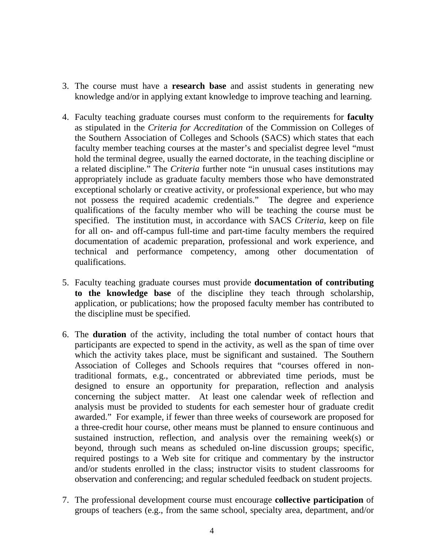- 3. The course must have a **research base** and assist students in generating new knowledge and/or in applying extant knowledge to improve teaching and learning.
- 4. Faculty teaching graduate courses must conform to the requirements for **faculty**  as stipulated in the *Criteria for Accreditation* of the Commission on Colleges of the Southern Association of Colleges and Schools (SACS) which states that each faculty member teaching courses at the master's and specialist degree level "must hold the terminal degree, usually the earned doctorate, in the teaching discipline or a related discipline." The *Criteria* further note "in unusual cases institutions may appropriately include as graduate faculty members those who have demonstrated exceptional scholarly or creative activity, or professional experience, but who may not possess the required academic credentials." The degree and experience qualifications of the faculty member who will be teaching the course must be specified. The institution must, in accordance with SACS *Criteria*, keep on file for all on- and off-campus full-time and part-time faculty members the required documentation of academic preparation, professional and work experience, and technical and performance competency, among other documentation of qualifications.
- 5. Faculty teaching graduate courses must provide **documentation of contributing to the knowledge base** of the discipline they teach through scholarship, application, or publications; how the proposed faculty member has contributed to the discipline must be specified.
- 6. The **duration** of the activity, including the total number of contact hours that participants are expected to spend in the activity, as well as the span of time over which the activity takes place, must be significant and sustained. The Southern Association of Colleges and Schools requires that "courses offered in nontraditional formats, e.g., concentrated or abbreviated time periods, must be designed to ensure an opportunity for preparation, reflection and analysis concerning the subject matter. At least one calendar week of reflection and analysis must be provided to students for each semester hour of graduate credit awarded." For example, if fewer than three weeks of coursework are proposed for a three-credit hour course, other means must be planned to ensure continuous and sustained instruction, reflection, and analysis over the remaining week(s) or beyond, through such means as scheduled on-line discussion groups; specific, required postings to a Web site for critique and commentary by the instructor and/or students enrolled in the class; instructor visits to student classrooms for observation and conferencing; and regular scheduled feedback on student projects.
- 7. The professional development course must encourage **collective participation** of groups of teachers (e.g., from the same school, specialty area, department, and/or